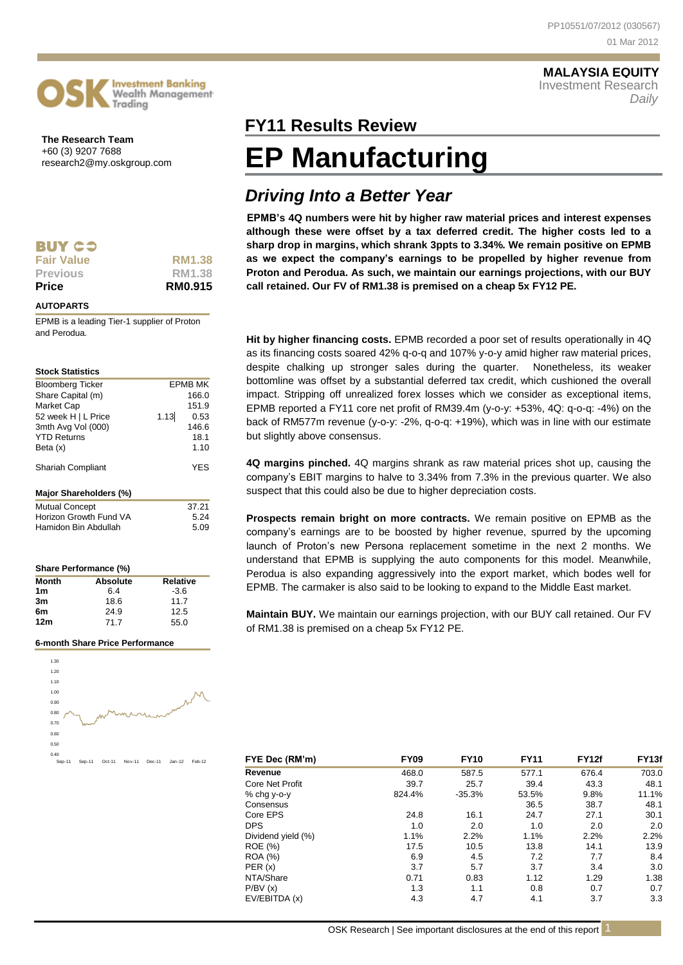### **MALAYSIA EQUITY** Investment Research

*Daily*

**The Research Team** +60 (3) 9207 7688 research2@my.oskgroup.com

**Investment Bankina** Wealth Management

Trading

| RM1.38        |
|---------------|
|               |
| <b>RM1.38</b> |
|               |
|               |

### **AUTOPARTS**

EPMB is a leading Tier-1 supplier of Proton and Perodua.

### **Stock Statistics**

| <b>Bloomberg Ticker</b> |      | <b>EPMB MK</b> |
|-------------------------|------|----------------|
| Share Capital (m)       |      | 166.0          |
| Market Cap              |      | 151.9          |
| 52 week H   L Price     | 1.13 | 0.53           |
| 3mth Avg Vol (000)      |      | 146.6          |
| <b>YTD Returns</b>      |      | 18.1           |
| Beta (x)                |      | 1.10           |
| Shariah Compliant       |      | YES            |
| Major Shareholders (%)  |      |                |
| <b>Mutual Concept</b>   |      | 37.21          |
| Horizon Growth Fund VA  |      | 5.24           |
| Hamidon Bin Abdullah    |      | 5.09           |

| Share Performance (%) |                 |          |  |  |  |
|-----------------------|-----------------|----------|--|--|--|
| <b>Month</b>          | <b>Absolute</b> | Relative |  |  |  |
| 1 <sub>m</sub>        | 6.4             | $-3.6$   |  |  |  |
| 3m                    | 18.6            | 11.7     |  |  |  |
| 6m                    | 24.9            | 12.5     |  |  |  |
| 12 <sub>m</sub>       | 71.7            | 55.0     |  |  |  |

### **6-month Share Price Performance**



# **FY11 Results Review FY11**

# **EP Manufacturing**

## *Driving Into a Better Year*

**EPMB's 4Q numbers were hit by higher raw material prices and interest expenses although these were offset by a tax deferred credit. The higher costs led to a sharp drop in margins, which shrank 3ppts to 3.34%. We remain positive on EPMB as we expect the company's earnings to be propelled by higher revenue from Proton and Perodua. As such, we maintain our earnings projections, with our BUY call retained. Our FV of RM1.38 is premised on a cheap 5x FY12 PE.**

**Hit by higher financing costs.** EPMB recorded a poor set of results operationally in 4Q as its financing costs soared 42% q-o-q and 107% y-o-y amid higher raw material prices, despite chalking up stronger sales during the quarter. Nonetheless, its weaker bottomline was offset by a substantial deferred tax credit, which cushioned the overall impact. Stripping off unrealized forex losses which we consider as exceptional items, EPMB reported a FY11 core net profit of RM39.4m (y-o-y: +53%, 4Q: q-o-q: -4%) on the back of RM577m revenue (y-o-y: -2%, q-o-q: +19%), which was in line with our estimate but slightly above consensus.

**4Q margins pinched.** 4Q margins shrank as raw material prices shot up, causing the company's EBIT margins to halve to 3.34% from 7.3% in the previous quarter. We also suspect that this could also be due to higher depreciation costs.

**Prospects remain bright on more contracts.** We remain positive on EPMB as the company's earnings are to be boosted by higher revenue, spurred by the upcoming launch of Proton's new Persona replacement sometime in the next 2 months. We understand that EPMB is supplying the auto components for this model. Meanwhile, Perodua is also expanding aggressively into the export market, which bodes well for EPMB. The carmaker is also said to be looking to expand to the Middle East market.

**Maintain BUY.** We maintain our earnings projection, with our BUY call retained. Our FV of RM1.38 is premised on a cheap 5x FY12 PE.

| FYE Dec (RM'm)     | <b>FY09</b> | <b>FY10</b> | <b>FY11</b> | <b>FY12f</b> | FY <sub>13f</sub> |
|--------------------|-------------|-------------|-------------|--------------|-------------------|
| Revenue            | 468.0       | 587.5       | 577.1       | 676.4        | 703.0             |
| Core Net Profit    | 39.7        | 25.7        | 39.4        | 43.3         | 48.1              |
| % chg y-o-y        | 824.4%      | $-35.3%$    | 53.5%       | 9.8%         | 11.1%             |
| Consensus          |             |             | 36.5        | 38.7         | 48.1              |
| Core EPS           | 24.8        | 16.1        | 24.7        | 27.1         | 30.1              |
| <b>DPS</b>         | 1.0         | 2.0         | 1.0         | 2.0          | 2.0               |
| Dividend yield (%) | 1.1%        | 2.2%        | 1.1%        | 2.2%         | 2.2%              |
| ROE (%)            | 17.5        | 10.5        | 13.8        | 14.1         | 13.9              |
| <b>ROA</b> (%)     | 6.9         | 4.5         | 7.2         | 7.7          | 8.4               |
| PER(x)             | 3.7         | 5.7         | 3.7         | 3.4          | 3.0               |
| NTA/Share          | 0.71        | 0.83        | 1.12        | 1.29         | 1.38              |
| P/BV(x)            | 1.3         | 1.1         | 0.8         | 0.7          | 0.7               |
| EV/EBITDA (x)      | 4.3         | 4.7         | 4.1         | 3.7          | 3.3               |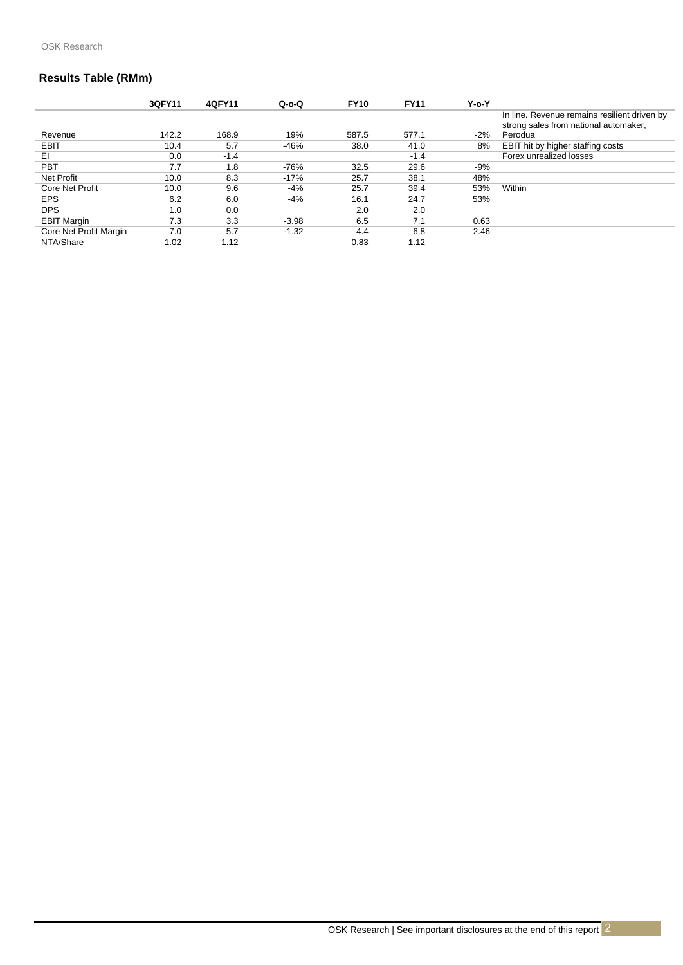### **Results Table (RMm)**

|                        | 3QFY11 | 40FY11 | $Q-O-O$ | <b>FY10</b> | <b>FY11</b> | $Y$ -o- $Y$ |                                                                                       |
|------------------------|--------|--------|---------|-------------|-------------|-------------|---------------------------------------------------------------------------------------|
|                        |        |        |         |             |             |             | In line. Revenue remains resilient driven by<br>strong sales from national automaker, |
| Revenue                | 142.2  | 168.9  | 19%     | 587.5       | 577.1       | $-2%$       | Perodua                                                                               |
| EBIT                   | 10.4   | 5.7    | -46%    | 38.0        | 41.0        | 8%          | EBIT hit by higher staffing costs                                                     |
| EL                     | 0.0    | $-1.4$ |         |             | $-1.4$      |             | Forex unrealized losses                                                               |
| <b>PBT</b>             | 7.7    | 1.8    | $-76%$  | 32.5        | 29.6        | -9%         |                                                                                       |
| <b>Net Profit</b>      | 10.0   | 8.3    | $-17%$  | 25.7        | 38.1        | 48%         |                                                                                       |
| Core Net Profit        | 10.0   | 9.6    | $-4%$   | 25.7        | 39.4        | 53%         | Within                                                                                |
| <b>EPS</b>             | 6.2    | 6.0    | $-4%$   | 16.1        | 24.7        | 53%         |                                                                                       |
| <b>DPS</b>             | 1.0    | 0.0    |         | 2.0         | 2.0         |             |                                                                                       |
| <b>EBIT Margin</b>     | 7.3    | 3.3    | $-3.98$ | 6.5         | 7.1         | 0.63        |                                                                                       |
| Core Net Profit Margin | 7.0    | 5.7    | $-1.32$ | 4.4         | 6.8         | 2.46        |                                                                                       |
| NTA/Share              | 1.02   | 1.12   |         | 0.83        | 1.12        |             |                                                                                       |